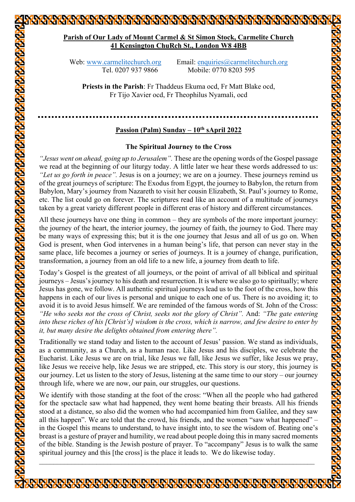# **Parish of Our Lady of Mount Carmel & St Simon Stock, Carmelite Church 41 Kensington ChuRch St., London W8 4BB**

Web: www.carmelitechurch.org Email: enquiries@carmelitechurch.org Tel. 0207 937 9866 Mobile: 0770 8203 595

**Priests in the Parish**: Fr Thaddeus Ekuma ocd, Fr Matt Blake ocd, Fr Tijo Xavier ocd, Fr Theophilus Nyamali, ocd

## **Passion (Palm) Sunday – 10th sApril 2022**

### **The Spiritual Journey to the Cross**

*"Jesus went on ahead, going up to Jerusalem".* These are the opening words of the Gospel passage we read at the beginning of our liturgy today. A little later we hear these words addressed to us: *"Let us go forth in peace".* Jesus is on a journey; we are on a journey. These journeys remind us of the great journeys of scripture: The Exodus from Egypt, the journey to Babylon, the return from Babylon, Mary's journey from Nazareth to visit her cousin Elizabeth, St. Paul's journey to Rome, etc. The list could go on forever. The scriptures read like an account of a multitude of journeys taken by a great variety different people in different eras of history and different circumstances.

All these journeys have one thing in common – they are symbols of the more important journey: the journey of the heart, the interior journey, the journey of faith, the journey to God. There may be many ways of expressing this; but it is the one journey that Jesus and all of us go on. When God is present, when God intervenes in a human being's life, that person can never stay in the same place, life becomes a journey or series of journeys. It is a journey of change, purification, transformation, a journey from an old life to a new life, a journey from death to life.

Today's Gospel is the greatest of all journeys, or the point of arrival of all biblical and spiritual journeys – Jesus's journey to his death and resurrection. It is where we also go to spiritually; where Jesus has gone, we follow. All authentic spiritual journeys lead us to the foot of the cross, how this happens in each of our lives is personal and unique to each one of us. There is no avoiding it; to avoid it is to avoid Jesus himself. We are reminded of the famous words of St. John of the Cross: *"He who seeks not the cross of Christ, seeks not the glory of Christ".* And: *"The gate entering into these riches of his [Christ's] wisdom is the cross, which is narrow, and few desire to enter by it, but many desire the delights obtained from entering there".*

Traditionally we stand today and listen to the account of Jesus' passion. We stand as individuals, as a community, as a Church, as a human race. Like Jesus and his disciples, we celebrate the Eucharist. Like Jesus we are on trial, like Jesus we fall, like Jesus we suffer, like Jesus we pray, like Jesus we receive help, like Jesus we are stripped, etc. This story is our story, this journey is our journey. Let us listen to the story of Jesus, listening at the same time to our story – our journey through life, where we are now, our pain, our struggles, our questions.

We identify with those standing at the foot of the cross: "When all the people who had gathered for the spectacle saw what had happened, they went home beating their breasts. All his friends stood at a distance, so also did the women who had accompanied him from Galilee, and they saw all this happen". We are told that the crowd, his friends, and the women "saw what happened" – in the Gospel this means to understand, to have insight into, to see the wisdom of. Beating one's breast is a gesture of prayer and humility, we read about people doing this in many sacred moments of the bible. Standing is the Jewish posture of prayer. To "accompany" Jesus is to walk the same spiritual journey and this [the cross] is the place it leads to. We do likewise today.